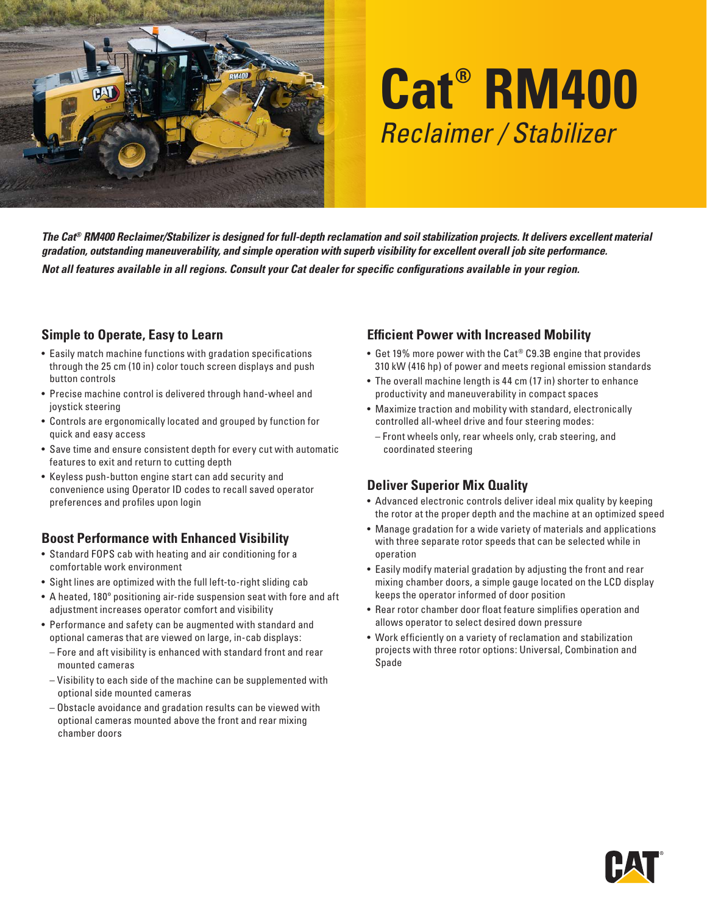

# **Cat® RM400** *Reclaimer / Stabilizer*

*The Cat® RM400 Reclaimer/Stabilizer is designed for full-depth reclamation and soil stabilization projects. It delivers excellent material gradation, outstanding maneuverability, and simple operation with superb visibility for excellent overall job site performance. Not all features available in all regions. Consult your Cat dealer for specific configurations available in your region.*

#### **Simple to Operate, Easy to Learn**

- Easily match machine functions with gradation specifications through the 25 cm (10 in) color touch screen displays and push button controls
- Precise machine control is delivered through hand-wheel and joystick steering
- Controls are ergonomically located and grouped by function for quick and easy access
- Save time and ensure consistent depth for every cut with automatic features to exit and return to cutting depth
- Keyless push-button engine start can add security and convenience using Operator ID codes to recall saved operator preferences and profiles upon login

#### **Boost Performance with Enhanced Visibility**

- Standard FOPS cab with heating and air conditioning for a comfortable work environment
- Sight lines are optimized with the full left-to-right sliding cab
- A heated, 180º positioning air-ride suspension seat with fore and aft adjustment increases operator comfort and visibility
- Performance and safety can be augmented with standard and optional cameras that are viewed on large, in-cab displays:
	- Fore and aft visibility is enhanced with standard front and rear mounted cameras
- Visibility to each side of the machine can be supplemented with optional side mounted cameras
- Obstacle avoidance and gradation results can be viewed with optional cameras mounted above the front and rear mixing chamber doors

### **Efficient Power with Increased Mobility**

- Get 19% more power with the Cat® C9.3B engine that provides 310 kW (416 hp) of power and meets regional emission standards
- The overall machine length is 44 cm (17 in) shorter to enhance productivity and maneuverability in compact spaces
- Maximize traction and mobility with standard, electronically controlled all-wheel drive and four steering modes:
- Front wheels only, rear wheels only, crab steering, and coordinated steering

#### **Deliver Superior Mix Quality**

- Advanced electronic controls deliver ideal mix quality by keeping the rotor at the proper depth and the machine at an optimized speed
- Manage gradation for a wide variety of materials and applications with three separate rotor speeds that can be selected while in operation
- Easily modify material gradation by adjusting the front and rear mixing chamber doors, a simple gauge located on the LCD display keeps the operator informed of door position
- Rear rotor chamber door float feature simplifies operation and allows operator to select desired down pressure
- Work efficiently on a variety of reclamation and stabilization projects with three rotor options: Universal, Combination and Spade

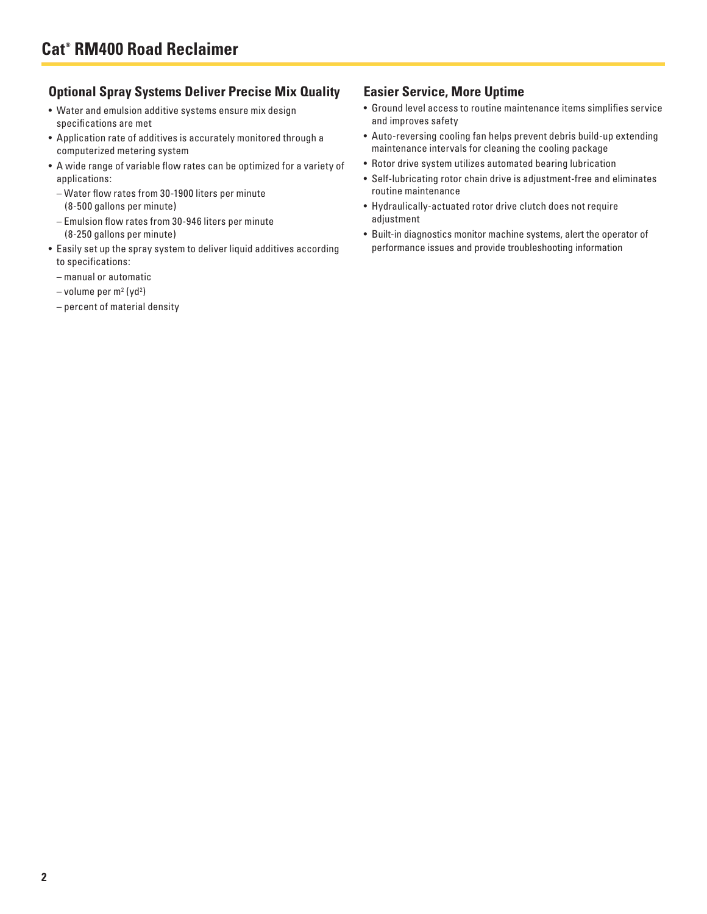#### **Optional Spray Systems Deliver Precise Mix Quality**

- Water and emulsion additive systems ensure mix design specifications are met
- Application rate of additives is accurately monitored through a computerized metering system
- A wide range of variable flow rates can be optimized for a variety of applications:
	- Water flow rates from 30-1900 liters per minute (8-500 gallons per minute)
	- Emulsion flow rates from 30-946 liters per minute (8-250 gallons per minute)
- Easily set up the spray system to deliver liquid additives according to specifications:
	- manual or automatic
	- volume per m<sup>2</sup> (yd<sup>2</sup>)
	- percent of material density

#### **Easier Service, More Uptime**

- Ground level access to routine maintenance items simplifies service and improves safety
- Auto-reversing cooling fan helps prevent debris build-up extending maintenance intervals for cleaning the cooling package
- Rotor drive system utilizes automated bearing lubrication
- Self-lubricating rotor chain drive is adjustment-free and eliminates routine maintenance
- Hydraulically-actuated rotor drive clutch does not require adjustment
- Built-in diagnostics monitor machine systems, alert the operator of performance issues and provide troubleshooting information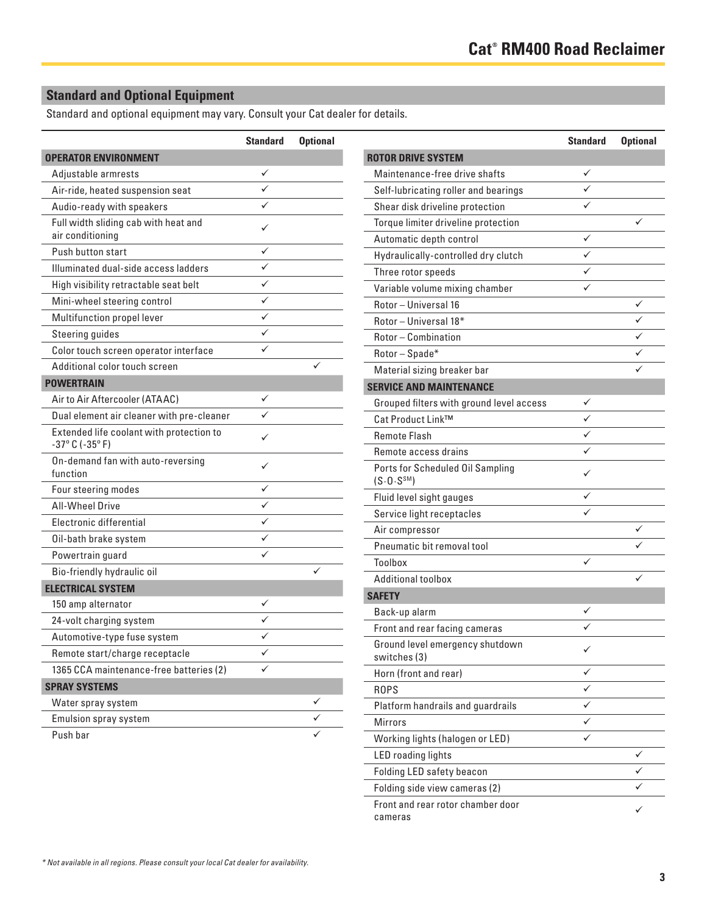# **Standard and Optional Equipment**

Standard and optional equipment may vary. Consult your Cat dealer for details.

|                                                                                | <b>Standard</b> | <b>Optional</b> |
|--------------------------------------------------------------------------------|-----------------|-----------------|
| <b>OPERATOR ENVIRONMENT</b>                                                    |                 |                 |
| Adjustable armrests                                                            | ✓               |                 |
| Air-ride, heated suspension seat                                               |                 |                 |
| Audio-ready with speakers                                                      | $\checkmark$    |                 |
| Full width sliding cab with heat and<br>air conditioning                       | ✓               |                 |
| Push button start                                                              | $\checkmark$    |                 |
| Illuminated dual-side access ladders                                           | ✓               |                 |
| High visibility retractable seat belt                                          | ✓               |                 |
| Mini-wheel steering control                                                    | ✓               |                 |
| Multifunction propel lever                                                     | ✓               |                 |
| <b>Steering guides</b>                                                         |                 |                 |
| Color touch screen operator interface                                          |                 |                 |
| Additional color touch screen                                                  |                 |                 |
| <b>POWERTRAIN</b>                                                              |                 |                 |
| Air to Air Aftercooler (ATAAC)                                                 | ✓               |                 |
| Dual element air cleaner with pre-cleaner                                      |                 |                 |
| Extended life coolant with protection to<br>$-37^{\circ}$ C ( $-35^{\circ}$ F) | ✓               |                 |
| On-demand fan with auto-reversing<br>function                                  | ✓               |                 |
| Four steering modes                                                            | ✓               |                 |
| <b>All-Wheel Drive</b>                                                         | ✓               |                 |
| Electronic differential                                                        | $\checkmark$    |                 |
| Oil-bath brake system                                                          | ✓               |                 |
| Powertrain guard                                                               |                 |                 |
| Bio-friendly hydraulic oil                                                     |                 |                 |
| <b>ELECTRICAL SYSTEM</b>                                                       |                 |                 |
| 150 amp alternator                                                             |                 |                 |
| 24-volt charging system                                                        |                 |                 |
| Automotive-type fuse system                                                    |                 |                 |
| Remote start/charge receptacle                                                 |                 |                 |
| 1365 CCA maintenance-free batteries (2)                                        |                 |                 |
| <b>SPRAY SYSTEMS</b>                                                           |                 |                 |
| Water spray system                                                             |                 |                 |
| <b>Emulsion spray system</b>                                                   |                 |                 |
| Push bar                                                                       |                 |                 |

|                                                             | <b>Standard</b> | <b>Optional</b> |
|-------------------------------------------------------------|-----------------|-----------------|
| <b>ROTOR DRIVE SYSTEM</b>                                   |                 |                 |
| Maintenance-free drive shafts                               | ✓               |                 |
| Self-lubricating roller and bearings                        |                 |                 |
| Shear disk driveline protection                             |                 |                 |
| Torque limiter driveline protection                         |                 |                 |
| Automatic depth control                                     | ✓               |                 |
| Hydraulically-controlled dry clutch                         | ✓               |                 |
| Three rotor speeds                                          |                 |                 |
| Variable volume mixing chamber                              |                 |                 |
| Rotor - Universal 16                                        |                 | ✓               |
| Rotor - Universal 18*                                       |                 |                 |
| Rotor - Combination                                         |                 | ✓               |
| Rotor-Spade*                                                |                 |                 |
| Material sizing breaker bar                                 |                 |                 |
| <b>SERVICE AND MAINTENANCE</b>                              |                 |                 |
| Grouped filters with ground level access                    |                 |                 |
| Cat Product Link™                                           | ✓               |                 |
| <b>Remote Flash</b>                                         | ✓               |                 |
| Remote access drains                                        |                 |                 |
| Ports for Scheduled Oil Sampling<br>(S.0. S <sup>SM</sup> ) | ✓               |                 |
| Fluid level sight gauges                                    |                 |                 |
| Service light receptacles                                   |                 |                 |
| Air compressor                                              |                 |                 |
| Pneumatic bit removal tool                                  |                 |                 |
| <b>Toolbox</b>                                              |                 |                 |
| <b>Additional toolbox</b>                                   |                 |                 |
| <b>SAFETY</b>                                               |                 |                 |
| Back-up alarm                                               |                 |                 |
| Front and rear facing cameras                               |                 |                 |
| Ground level emergency shutdown<br>switches (3)             | ✓               |                 |
| Horn (front and rear)                                       | ✓               |                 |
| <b>ROPS</b>                                                 | ✓               |                 |
| Platform handrails and guardrails                           | ✓               |                 |
| <b>Mirrors</b>                                              |                 |                 |
| Working lights (halogen or LED)                             |                 |                 |
| <b>LED</b> roading lights                                   |                 | ✓               |
| Folding LED safety beacon                                   |                 |                 |
| Folding side view cameras (2)                               |                 |                 |
| Front and rear rotor chamber door<br>cameras                |                 | ✓               |